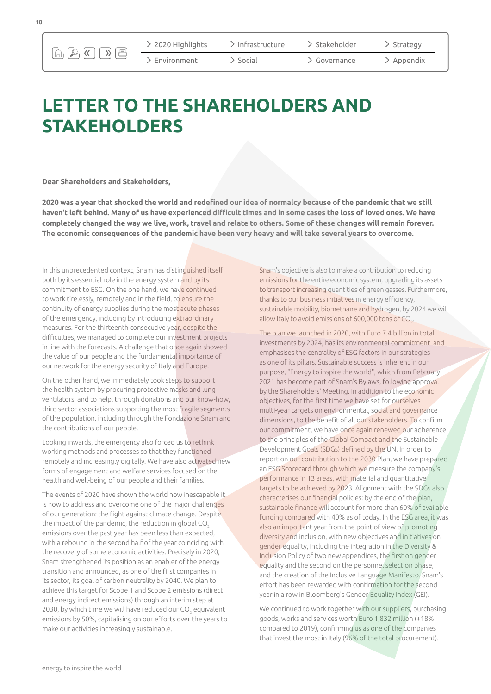$\text{A} \cup \text{B} \cup \text{C}$ 

 $>$  2020 Highlights

 $\geq$  Fnvironment

 $\sum$ Infrastructure

 $\sum$  Social

 $\geq$  Stakeholder

Governance

Appendix > Strategy

## **LETTER TO THE SHAREHOLDERS AND STAKEHOLDERS**

**Dear Shareholders and Stakeholders,**

**2020 was a year that shocked the world and redefined our idea of normalcy because of the pandemic that we still haven't left behind. Many of us have experienced difficult times and in some cases the loss of loved ones. We have completely changed the way we live, work, travel and relate to others. Some of these changes will remain forever. The economic consequences of the pandemic have been very heavy and will take several years to overcome.** 

In this unprecedented context, Snam has distinguished itself both by its essential role in the energy system and by its commitment to ESG. On the one hand, we have continued to work tirelessly, remotely and in the field, to ensure the continuity of energy supplies during the most acute phases of the emergency, including by introducing extraordinary measures. For the thirteenth consecutive year, despite the difficulties, we managed to complete our investment projects in line with the forecasts. A challenge that once again showed the value of our people and the fundamental importance of our network for the energy security of Italy and Europe.

On the other hand, we immediately took steps to support the health system by procuring protective masks and lung ventilators, and to help, through donations and our know-how, third sector associations supporting the most fragile segments of the population, including through the Fondazione Snam and the contributions of our people.

Looking inwards, the emergency also forced us to rethink working methods and processes so that they functioned remotely and increasingly digitally. We have also activated new forms of engagement and welfare services focused on the health and well-being of our people and their families.

The events of 2020 have shown the world how inescapable it is now to address and overcome one of the major challenges of our generation: the fight against climate change. Despite the impact of the pandemic, the reduction in global CO<sub>2</sub> emissions over the past year has been less than expected, with a rebound in the second half of the year coinciding with the recovery of some economic activities. Precisely in 2020, Snam strengthened its position as an enabler of the energy transition and announced, as one of the first companies in its sector, its goal of carbon neutrality by 2040. We plan to achieve this target for Scope 1 and Scope 2 emissions (direct and energy indirect emissions) through an interim step at 2030, by which time we will have reduced our CO $_{\tiny 2}$  equivalent emissions by 50%, capitalising on our efforts over the years to make our activities increasingly sustainable.

Snam's objective is also to make a contribution to reducing emissions for the entire economic system, upgrading its assets to transport increasing quantities of green gasses. Furthermore, thanks to our business initiatives in energy efficiency, sustainable mobility, biomethane and hydrogen, by 2024 we will allow Italy to avoid emissions of 600,000 tons of  $\mathrm{CO}_2$ .

The plan we launched in 2020, with Euro 7.4 billion in total investments by 2024, has its environmental commitment and emphasises the centrality of ESG factors in our strategies as one of its pillars. Sustainable success is inherent in our purpose, "Energy to inspire the world", which from February 2021 has become part of Snam's Bylaws, following approval by the Shareholders' Meeting. In addition to the economic objectives, for the first time we have set for ourselves multi-year targets on environmental, social and governance dimensions, to the benefit of all our stakeholders. To confirm our commitment, we have once again renewed our adherence to the principles of the Global Compact and the Sustainable Development Goals (SDGs) defined by the UN. In order to report on our contribution to the 2030 Plan, we have prepared an ESG Scorecard through which we measure the company's performance in 13 areas, with material and quantitative targets to be achieved by 2023. Alignment with the SDGs also characterises our financial policies: by the end of the plan, sustainable finance will account for more than 60% of available funding compared with 40% as of today. In the ESG area, it was also an important year from the point of view of promoting diversity and inclusion, with new objectives and initiatives on gender equality, including the integration in the Diversity & Inclusion Policy of two new appendices, the first on gender equality and the second on the personnel selection phase, and the creation of the Inclusive Language Manifesto. Snam's effort has been rewarded with confirmation for the second year in a row in Bloomberg's Gender-Equality Index (GEI).

We continued to work together with our suppliers, purchasing goods, works and services worth Euro 1,832 million (+18% compared to 2019), confirming us as one of the companies that invest the most in Italy (96% of the total procurement).